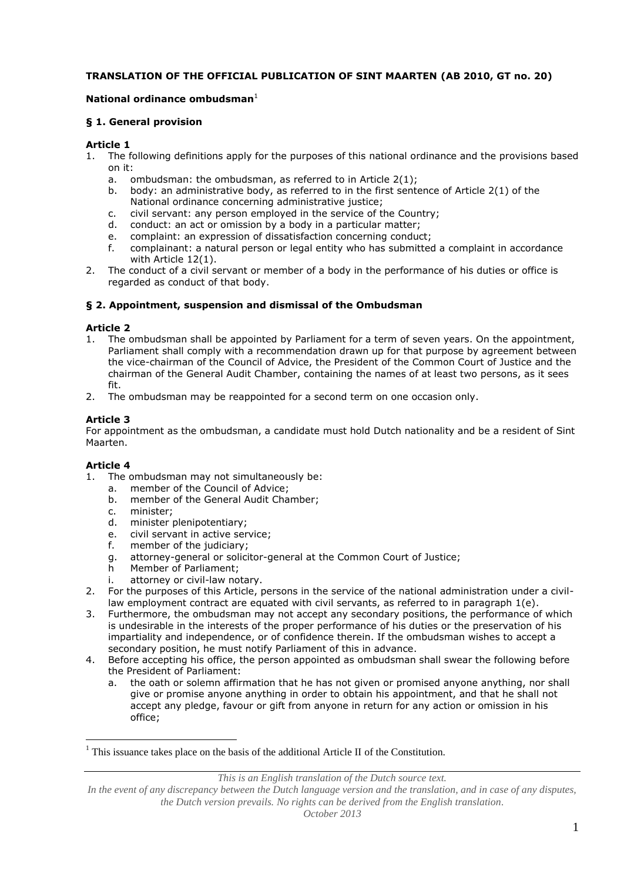### **TRANSLATION OF THE OFFICIAL PUBLICATION OF SINT MAARTEN (AB 2010, GT no. 20)**

## **National ordinance ombudsman**<sup>1</sup>

### **§ 1. General provision**

## **Article 1**

- 1. The following definitions apply for the purposes of this national ordinance and the provisions based on it:
	- a. ombudsman: the ombudsman, as referred to in Article 2(1);
	- b. body: an administrative body, as referred to in the first sentence of Article 2(1) of the National ordinance concerning administrative justice;
	- c. civil servant: any person employed in the service of the Country;
	- d. conduct: an act or omission by a body in a particular matter;
	- e. complaint: an expression of dissatisfaction concerning conduct;<br>f. complainant: a natural person or legal entity who has submitted
	- complainant: a natural person or legal entity who has submitted a complaint in accordance with Article 12(1).
- 2. The conduct of a civil servant or member of a body in the performance of his duties or office is regarded as conduct of that body.

## **§ 2. Appointment, suspension and dismissal of the Ombudsman**

## **Article 2**

- 1. The ombudsman shall be appointed by Parliament for a term of seven years. On the appointment, Parliament shall comply with a recommendation drawn up for that purpose by agreement between the vice-chairman of the Council of Advice, the President of the Common Court of Justice and the chairman of the General Audit Chamber, containing the names of at least two persons, as it sees fit.
- 2. The ombudsman may be reappointed for a second term on one occasion only.

# **Article 3**

For appointment as the ombudsman, a candidate must hold Dutch nationality and be a resident of Sint Maarten.

# **Article 4**

 $\overline{a}$ 

- 1. The ombudsman may not simultaneously be:
	- a. member of the Council of Advice;<br>b. member of the General Audit Cha
	- member of the General Audit Chamber:
	- c. minister;
	- d. minister plenipotentiary;
	- e. civil servant in active service;
	- f. member of the judiciary;
	- g. attorney-general or solicitor-general at the Common Court of Justice;
	- h Member of Parliament;
	- i. attorney or civil-law notary.
- 2. For the purposes of this Article, persons in the service of the national administration under a civillaw employment contract are equated with civil servants, as referred to in paragraph 1(e).
- 3. Furthermore, the ombudsman may not accept any secondary positions, the performance of which is undesirable in the interests of the proper performance of his duties or the preservation of his impartiality and independence, or of confidence therein. If the ombudsman wishes to accept a secondary position, he must notify Parliament of this in advance.
- 4. Before accepting his office, the person appointed as ombudsman shall swear the following before the President of Parliament:
	- a. the oath or solemn affirmation that he has not given or promised anyone anything, nor shall give or promise anyone anything in order to obtain his appointment, and that he shall not accept any pledge, favour or gift from anyone in return for any action or omission in his office;

*This is an English translation of the Dutch source text.*

 $<sup>1</sup>$  This issuance takes place on the basis of the additional Article II of the Constitution.</sup>

In the event of any discrepancy between the Dutch language version and the translation, and in case of any disputes, *the Dutch version prevails. No rights can be derived from the English translation.*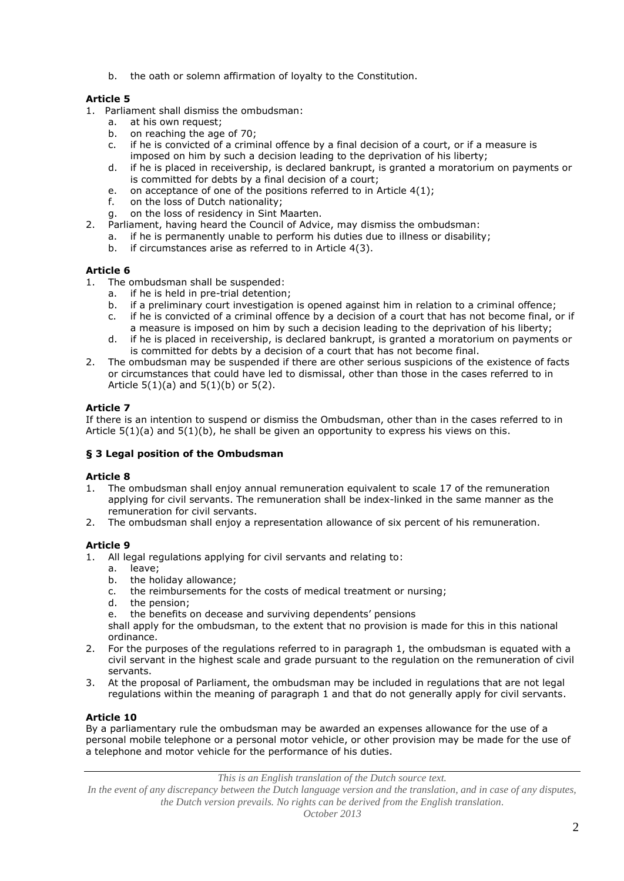b. the oath or solemn affirmation of loyalty to the Constitution.

## **Article 5**

- 1. Parliament shall dismiss the ombudsman:
	- a. at his own request;<br>b. on reaching the age
	- on reaching the age of 70;
	- c. if he is convicted of a criminal offence by a final decision of a court, or if a measure is imposed on him by such a decision leading to the deprivation of his liberty;
	- d. if he is placed in receivership, is declared bankrupt, is granted a moratorium on payments or is committed for debts by a final decision of a court;
	- e. on acceptance of one of the positions referred to in Article 4(1);
	- f. on the loss of Dutch nationality;
	- g. on the loss of residency in Sint Maarten.
- 2. Parliament, having heard the Council of Advice, may dismiss the ombudsman:
	- a. if he is permanently unable to perform his duties due to illness or disability;
	- b. if circumstances arise as referred to in Article 4(3).

### **Article 6**

- 1. The ombudsman shall be suspended:
	- a. if he is held in pre-trial detention;
	- b. if a preliminary court investigation is opened against him in relation to a criminal offence;
	- c. if he is convicted of a criminal offence by a decision of a court that has not become final, or if a measure is imposed on him by such a decision leading to the deprivation of his liberty;
	- d. if he is placed in receivership, is declared bankrupt, is granted a moratorium on payments or is committed for debts by a decision of a court that has not become final.
- 2. The ombudsman may be suspended if there are other serious suspicions of the existence of facts or circumstances that could have led to dismissal, other than those in the cases referred to in Article  $5(1)(a)$  and  $5(1)(b)$  or  $5(2)$ .

## **Article 7**

If there is an intention to suspend or dismiss the Ombudsman, other than in the cases referred to in Article  $5(1)(a)$  and  $5(1)(b)$ , he shall be given an opportunity to express his views on this.

### **§ 3 Legal position of the Ombudsman**

### **Article 8**

- 1. The ombudsman shall enjoy annual remuneration equivalent to scale 17 of the remuneration applying for civil servants. The remuneration shall be index-linked in the same manner as the remuneration for civil servants.
- 2. The ombudsman shall enjoy a representation allowance of six percent of his remuneration.

# **Article 9**

- 1. All legal regulations applying for civil servants and relating to:
	- a. leave;
	- b. the holiday allowance;
	- c. the reimbursements for the costs of medical treatment or nursing;
	- d. the pension;
	- e. the benefits on decease and surviving dependents' pensions

shall apply for the ombudsman, to the extent that no provision is made for this in this national ordinance.

- 2. For the purposes of the regulations referred to in paragraph 1, the ombudsman is equated with a civil servant in the highest scale and grade pursuant to the regulation on the remuneration of civil servants.
- 3. At the proposal of Parliament, the ombudsman may be included in regulations that are not legal regulations within the meaning of paragraph 1 and that do not generally apply for civil servants.

### **Article 10**

By a parliamentary rule the ombudsman may be awarded an expenses allowance for the use of a personal mobile telephone or a personal motor vehicle, or other provision may be made for the use of a telephone and motor vehicle for the performance of his duties.

*This is an English translation of the Dutch source text.*

*In the event of any discrepancy between the Dutch language version and the translation, and in case of any disputes, the Dutch version prevails. No rights can be derived from the English translation.*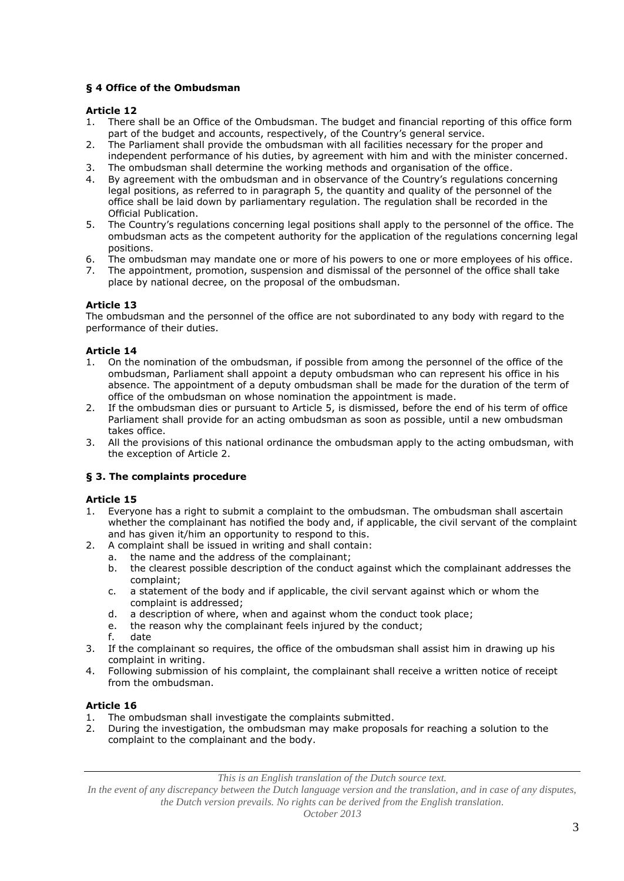## **§ 4 Office of the Ombudsman**

### **Article 12**

- 1. There shall be an Office of the Ombudsman. The budget and financial reporting of this office form part of the budget and accounts, respectively, of the Country's general service.
- 2. The Parliament shall provide the ombudsman with all facilities necessary for the proper and independent performance of his duties, by agreement with him and with the minister concerned.
- 3. The ombudsman shall determine the working methods and organisation of the office.
- 4. By agreement with the ombudsman and in observance of the Country's regulations concerning legal positions, as referred to in paragraph 5, the quantity and quality of the personnel of the office shall be laid down by parliamentary regulation. The regulation shall be recorded in the Official Publication.
- 5. The Country's regulations concerning legal positions shall apply to the personnel of the office. The ombudsman acts as the competent authority for the application of the regulations concerning legal positions.
- 6. The ombudsman may mandate one or more of his powers to one or more employees of his office.
- 7. The appointment, promotion, suspension and dismissal of the personnel of the office shall take place by national decree, on the proposal of the ombudsman.

# **Article 13**

The ombudsman and the personnel of the office are not subordinated to any body with regard to the performance of their duties.

## **Article 14**

- 1. On the nomination of the ombudsman, if possible from among the personnel of the office of the ombudsman, Parliament shall appoint a deputy ombudsman who can represent his office in his absence. The appointment of a deputy ombudsman shall be made for the duration of the term of office of the ombudsman on whose nomination the appointment is made.
- 2. If the ombudsman dies or pursuant to Article 5, is dismissed, before the end of his term of office Parliament shall provide for an acting ombudsman as soon as possible, until a new ombudsman takes office.
- 3. All the provisions of this national ordinance the ombudsman apply to the acting ombudsman, with the exception of Article 2.

### **§ 3. The complaints procedure**

### **Article 15**

- 1. Everyone has a right to submit a complaint to the ombudsman. The ombudsman shall ascertain whether the complainant has notified the body and, if applicable, the civil servant of the complaint and has given it/him an opportunity to respond to this.
- 2. A complaint shall be issued in writing and shall contain:
	- a. the name and the address of the complainant;
	- b. the clearest possible description of the conduct against which the complainant addresses the complaint;
	- c. a statement of the body and if applicable, the civil servant against which or whom the complaint is addressed;
	- d. a description of where, when and against whom the conduct took place;
	- e. the reason why the complainant feels injured by the conduct;
	- f. date
- 3. If the complainant so requires, the office of the ombudsman shall assist him in drawing up his complaint in writing.
- 4. Following submission of his complaint, the complainant shall receive a written notice of receipt from the ombudsman.

### **Article 16**

- 1. The ombudsman shall investigate the complaints submitted.
- 2. During the investigation, the ombudsman may make proposals for reaching a solution to the complaint to the complainant and the body.

*This is an English translation of the Dutch source text.*

*In the event of any discrepancy between the Dutch language version and the translation, and in case of any disputes, the Dutch version prevails. No rights can be derived from the English translation.*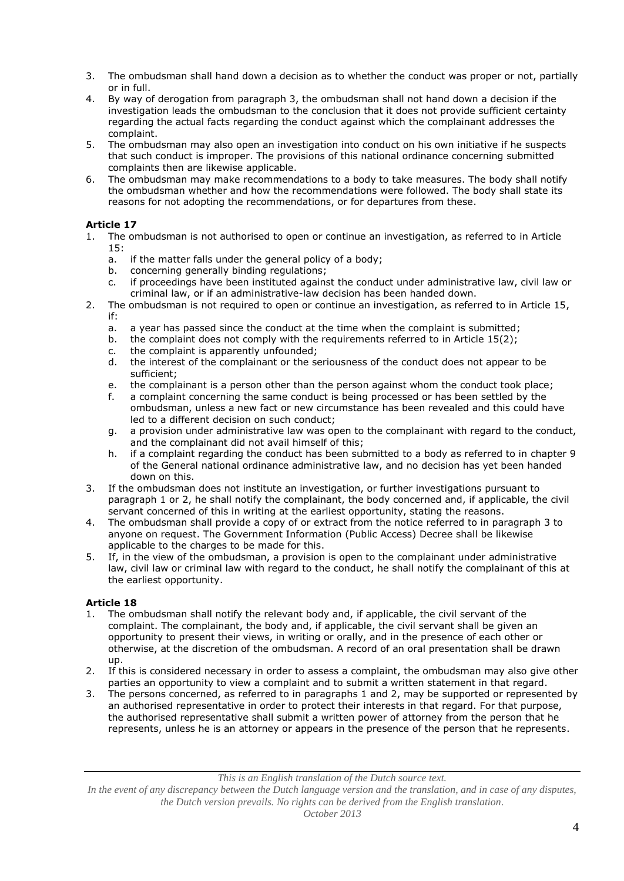- 3. The ombudsman shall hand down a decision as to whether the conduct was proper or not, partially or in full.
- 4. By way of derogation from paragraph 3, the ombudsman shall not hand down a decision if the investigation leads the ombudsman to the conclusion that it does not provide sufficient certainty regarding the actual facts regarding the conduct against which the complainant addresses the complaint.
- 5. The ombudsman may also open an investigation into conduct on his own initiative if he suspects that such conduct is improper. The provisions of this national ordinance concerning submitted complaints then are likewise applicable.
- 6. The ombudsman may make recommendations to a body to take measures. The body shall notify the ombudsman whether and how the recommendations were followed. The body shall state its reasons for not adopting the recommendations, or for departures from these.

# **Article 17**

- 1. The ombudsman is not authorised to open or continue an investigation, as referred to in Article 15:
	- a. if the matter falls under the general policy of a body;
	- b. concerning generally binding regulations;
	- c. if proceedings have been instituted against the conduct under administrative law, civil law or criminal law, or if an administrative-law decision has been handed down.
- 2. The ombudsman is not required to open or continue an investigation, as referred to in Article 15, if:
	- a. a year has passed since the conduct at the time when the complaint is submitted;<br>b. the complaint does not comply with the requirements referred to in Article 15(2);
	- the complaint does not comply with the requirements referred to in Article  $15(2)$ ;
	- c. the complaint is apparently unfounded;<br>d. the interest of the complainant or the se
	- the interest of the complainant or the seriousness of the conduct does not appear to be sufficient;
	- e. the complainant is a person other than the person against whom the conduct took place;
	- f. a complaint concerning the same conduct is being processed or has been settled by the ombudsman, unless a new fact or new circumstance has been revealed and this could have led to a different decision on such conduct;
	- g. a provision under administrative law was open to the complainant with regard to the conduct, and the complainant did not avail himself of this;
	- h. if a complaint regarding the conduct has been submitted to a body as referred to in chapter 9 of the General national ordinance administrative law, and no decision has yet been handed down on this.
- 3. If the ombudsman does not institute an investigation, or further investigations pursuant to paragraph 1 or 2, he shall notify the complainant, the body concerned and, if applicable, the civil servant concerned of this in writing at the earliest opportunity, stating the reasons.
- 4. The ombudsman shall provide a copy of or extract from the notice referred to in paragraph 3 to anyone on request. The Government Information (Public Access) Decree shall be likewise applicable to the charges to be made for this.
- 5. If, in the view of the ombudsman, a provision is open to the complainant under administrative law, civil law or criminal law with regard to the conduct, he shall notify the complainant of this at the earliest opportunity.

# **Article 18**

- 1. The ombudsman shall notify the relevant body and, if applicable, the civil servant of the complaint. The complainant, the body and, if applicable, the civil servant shall be given an opportunity to present their views, in writing or orally, and in the presence of each other or otherwise, at the discretion of the ombudsman. A record of an oral presentation shall be drawn up.
- 2. If this is considered necessary in order to assess a complaint, the ombudsman may also give other parties an opportunity to view a complaint and to submit a written statement in that regard.
- 3. The persons concerned, as referred to in paragraphs 1 and 2, may be supported or represented by an authorised representative in order to protect their interests in that regard. For that purpose, the authorised representative shall submit a written power of attorney from the person that he represents, unless he is an attorney or appears in the presence of the person that he represents.

In the event of any discrepancy between the Dutch language version and the translation, and in case of any disputes, *the Dutch version prevails. No rights can be derived from the English translation.*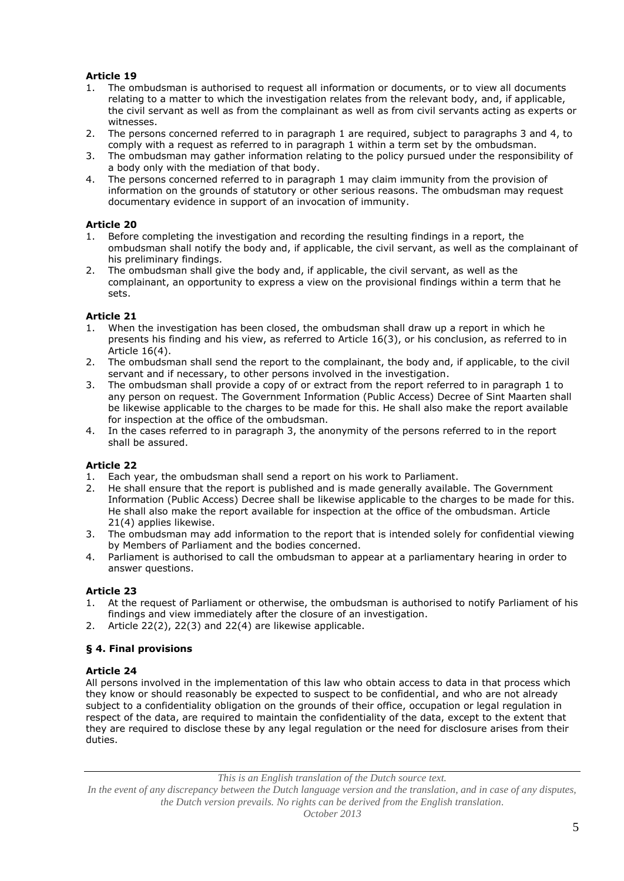## **Article 19**

- 1. The ombudsman is authorised to request all information or documents, or to view all documents relating to a matter to which the investigation relates from the relevant body, and, if applicable, the civil servant as well as from the complainant as well as from civil servants acting as experts or witnesses.
- 2. The persons concerned referred to in paragraph 1 are required, subject to paragraphs 3 and 4, to comply with a request as referred to in paragraph 1 within a term set by the ombudsman.
- 3. The ombudsman may gather information relating to the policy pursued under the responsibility of a body only with the mediation of that body.
- 4. The persons concerned referred to in paragraph 1 may claim immunity from the provision of information on the grounds of statutory or other serious reasons. The ombudsman may request documentary evidence in support of an invocation of immunity.

### **Article 20**

- 1. Before completing the investigation and recording the resulting findings in a report, the ombudsman shall notify the body and, if applicable, the civil servant, as well as the complainant of his preliminary findings.
- 2. The ombudsman shall give the body and, if applicable, the civil servant, as well as the complainant, an opportunity to express a view on the provisional findings within a term that he sets.

#### **Article 21**

- 1. When the investigation has been closed, the ombudsman shall draw up a report in which he presents his finding and his view, as referred to Article 16(3), or his conclusion, as referred to in Article 16(4).
- 2. The ombudsman shall send the report to the complainant, the body and, if applicable, to the civil servant and if necessary, to other persons involved in the investigation.
- 3. The ombudsman shall provide a copy of or extract from the report referred to in paragraph 1 to any person on request. The Government Information (Public Access) Decree of Sint Maarten shall be likewise applicable to the charges to be made for this. He shall also make the report available for inspection at the office of the ombudsman.
- 4. In the cases referred to in paragraph 3, the anonymity of the persons referred to in the report shall be assured.

### **Article 22**

- 1. Each year, the ombudsman shall send a report on his work to Parliament.
- 2. He shall ensure that the report is published and is made generally available. The Government Information (Public Access) Decree shall be likewise applicable to the charges to be made for this. He shall also make the report available for inspection at the office of the ombudsman. Article 21(4) applies likewise.
- 3. The ombudsman may add information to the report that is intended solely for confidential viewing by Members of Parliament and the bodies concerned.
- 4. Parliament is authorised to call the ombudsman to appear at a parliamentary hearing in order to answer questions.

### **Article 23**

- 1. At the request of Parliament or otherwise, the ombudsman is authorised to notify Parliament of his findings and view immediately after the closure of an investigation.
- 2. Article 22(2), 22(3) and 22(4) are likewise applicable.

### **§ 4. Final provisions**

#### **Article 24**

All persons involved in the implementation of this law who obtain access to data in that process which they know or should reasonably be expected to suspect to be confidential, and who are not already subject to a confidentiality obligation on the grounds of their office, occupation or legal regulation in respect of the data, are required to maintain the confidentiality of the data, except to the extent that they are required to disclose these by any legal regulation or the need for disclosure arises from their duties.

*This is an English translation of the Dutch source text.*

*In the event of any discrepancy between the Dutch language version and the translation, and in case of any disputes, the Dutch version prevails. No rights can be derived from the English translation.*